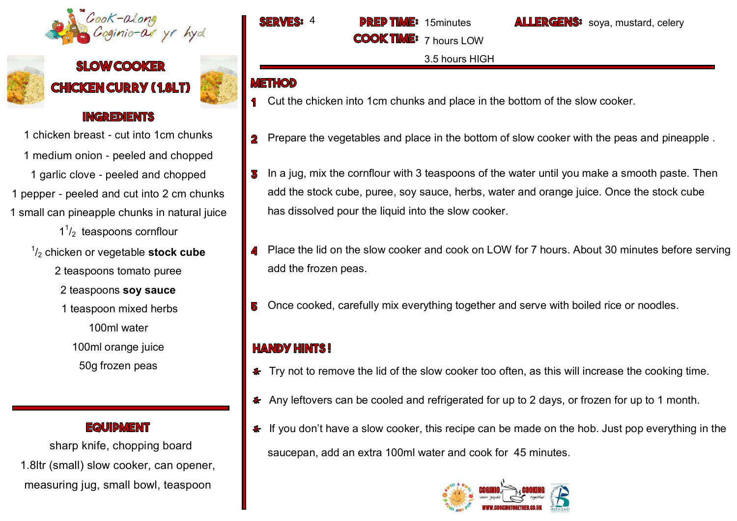

# **SLOW COOKER CHICKEN CURRY (1.8LT)**



#### **INGREDIENTS**

1 chicken breast - cut into 1cm chunks 1 medium onion - peeled and chopped 1 garlic clove - peeled and chopped 1 pepper - peeled and cut into 2 cm chunks 1 small can pineapple chunks in natural juice

 $1<sup>1</sup>/<sub>2</sub>$  teaspoons cornflour

1 /<sup>2</sup> chicken or vegetable **stock cube** 

2 teaspoons tomato puree

2 teaspoons **soy sauce** 

1 teaspoon mixed herbs

100ml water

100ml orange juice 50g frozen peas

**EQUIDMENT** 

 sharp knife, chopping board 1.8ltr (small) slow cooker, can opener, measuring jug, small bowl, teaspoon

4 15minutes

**COOK TIME** 

LLERGENS: soya, mustard, celery

3.5 hours HIGH

7 hours LOW

## **METHOD**

- **1** Cut the chicken into 1cm chunks and place in the bottom of the slow cooker.
- Prepare the vegetables and place in the bottom of slow cooker with the peas and pineapple .  $\overline{\mathbf{2}}$
- In a jug, mix the cornflour with 3 teaspoons of the water until you make a smooth paste. Then В add the stock cube, puree, soy sauce, herbs, water and orange juice. Once the stock cube has dissolved pour the liquid into the slow cooker.
- Place the lid on the slow cooker and cook on LOW for 7 hours. About 30 minutes before serving add the frozen peas.
- Once cooked, carefully mix everything together and serve with boiled rice or noodles.

## **HANDY HINTS!**

- Fry not to remove the lid of the slow cooker too often, as this will increase the cooking time.
- \* Any leftovers can be cooled and refrigerated for up to 2 days, or frozen for up to 1 month.
- If you don't have a slow cooker, this recipe can be made on the hob. Just pop everything in the saucepan, add an extra 100ml water and cook for 45 minutes.